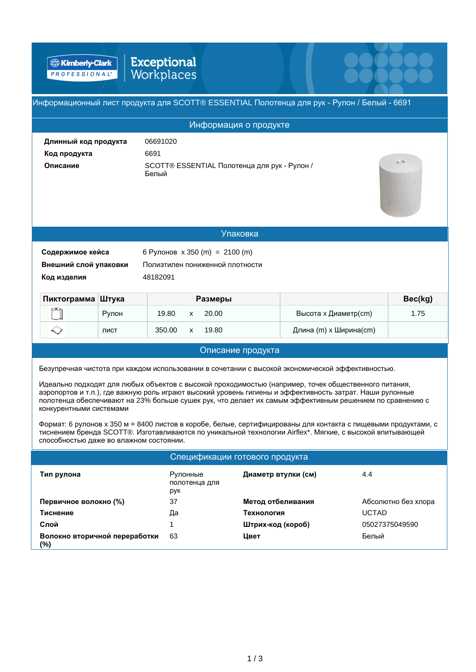Exceptional<br>Workplaces **B** Kimberly-Clark

| Информационный лист продукта для SCOTT® ESSENTIAL Полотенца для рук - Рулон / Белый - 6691                                                                                                                                                                                                                                                                                                                                                                                                                                                                                                                                                                                                                                                                             |       |                                                                                   |                     |                        |         |  |  |  |
|------------------------------------------------------------------------------------------------------------------------------------------------------------------------------------------------------------------------------------------------------------------------------------------------------------------------------------------------------------------------------------------------------------------------------------------------------------------------------------------------------------------------------------------------------------------------------------------------------------------------------------------------------------------------------------------------------------------------------------------------------------------------|-------|-----------------------------------------------------------------------------------|---------------------|------------------------|---------|--|--|--|
| Информация о продукте                                                                                                                                                                                                                                                                                                                                                                                                                                                                                                                                                                                                                                                                                                                                                  |       |                                                                                   |                     |                        |         |  |  |  |
| Длинный код продукта<br>Код продукта<br>Описание                                                                                                                                                                                                                                                                                                                                                                                                                                                                                                                                                                                                                                                                                                                       |       | 06691020<br>6691<br>2.70<br>SCOTT® ESSENTIAL Полотенца для рук - Рулон /<br>Белый |                     |                        |         |  |  |  |
|                                                                                                                                                                                                                                                                                                                                                                                                                                                                                                                                                                                                                                                                                                                                                                        |       |                                                                                   | <b>Упаковка</b>     |                        |         |  |  |  |
| 6 Рулонов x 350 (m) = 2100 (m)<br>Содержимое кейса<br>Внешний слой упаковки<br>Полиэтилен пониженной плотности<br>48182091<br>Код изделия                                                                                                                                                                                                                                                                                                                                                                                                                                                                                                                                                                                                                              |       |                                                                                   |                     |                        |         |  |  |  |
| Пиктограмма Штука                                                                                                                                                                                                                                                                                                                                                                                                                                                                                                                                                                                                                                                                                                                                                      |       |                                                                                   | Размеры             |                        | Bec(kg) |  |  |  |
|                                                                                                                                                                                                                                                                                                                                                                                                                                                                                                                                                                                                                                                                                                                                                                        | Рулон | 19.80<br>$\mathsf{x}$                                                             | 20.00               | Высота х Диаметр(cm)   | 1.75    |  |  |  |
| $\smallsetminus$                                                                                                                                                                                                                                                                                                                                                                                                                                                                                                                                                                                                                                                                                                                                                       | ЛИСТ  | 350.00<br>$\mathsf{x}$                                                            | 19.80               | Длина (m) х Ширина(cm) |         |  |  |  |
|                                                                                                                                                                                                                                                                                                                                                                                                                                                                                                                                                                                                                                                                                                                                                                        |       |                                                                                   | Описание продукта   |                        |         |  |  |  |
| Безупречная чистота при каждом использовании в сочетании с высокой экономической эффективностью.<br>Идеально подходят для любых объектов с высокой проходимостью (например, точек общественного питания,<br>аэропортов и т.п.), где важную роль играют высокий уровень гигиены и эффективность затрат. Наши рулонные<br>полотенца обеспечивают на 23% больше сушек рук, что делает их самым эффективным решением по сравнению с<br>конкурентными системами<br>Формат: 6 рулонов x 350 м = 8400 листов в коробе, белые, сертифицированы для контакта с пищевыми продуктами, с<br>тиснением бренда SCOTT®. Изготавливаются по уникальной технологии Airflex*. Мягкие, с высокой впитывающей<br>способностью даже во влажном состоянии.<br>Спецификации готового продукта |       |                                                                                   |                     |                        |         |  |  |  |
| Тип рулона                                                                                                                                                                                                                                                                                                                                                                                                                                                                                                                                                                                                                                                                                                                                                             |       | Рулонные<br>полотенца для                                                         | Диаметр втулки (см) | 4.4                    |         |  |  |  |

10000

|                                         | рук |                   |                     |
|-----------------------------------------|-----|-------------------|---------------------|
| Первичное волокно (%)                   | 37  | Метод отбеливания | Абсолютно без хлора |
| Тиснение                                | Да  | Технология        | <b>UCTAD</b>        |
| Слой                                    |     | Штрих-код (короб) | 05027375049590      |
| Волокно вторичной переработки<br>$(\%)$ | 63  | Цвет              | Белый               |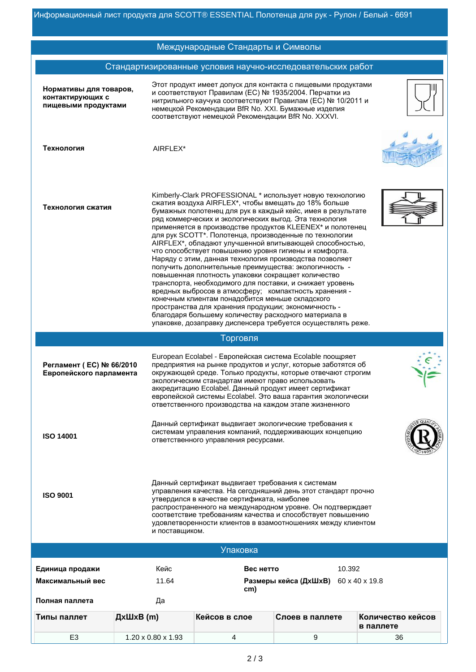## Стандартизированные условия научно-исследовательских работ Нормативы для товаров, контактирующих с пищевыми продуктами Этот продукт имеет допуск для контакта с пищевыми продуктами и соответствуют Правилам (ЕС) № 1935/2004. Перчатки из нитрильного каучука соответствуют Правилам (ЕС) № 10/2011 и немецкой Рекомендации BfR No. XXI. Бумажные изделия соответствуют немецкой Рекомендации BfR No. XXXVI. **Технология AIRFLEX**\* Технология сжатия [Kimberly-Clark PROFESSIONAL \\*](https://www.akgn.ru/brand/Kimberly-clark/) использует новую технологию сжатия воздуха [AIRFLEX\\*](https://www.akgn.ru/airflex/), чтобы вмещать до 18% больше бумажных полотенец для рук в каждый кейс, имея в результате ряд коммерческих и экологических выгод. Эта технология применяется в производстве продуктов [KLEENEX\\*](https://www.akgn.ru/brand/Kleenex/) и полотенец для рук SCOTT\*. Полотенца, производенные по технологии [AIRFLEX\\*,](https://www.akgn.ru/airflex/) обладают улучшенной впитывающей способностью, что способствует повышению уровня гигиены и комфорта. Наряду с этим, данная технология производства позволяет получить дополнительные преимущества: экологичность повышенная плотность упаковки сокращает количество транспорта, необходимого для поставки, и снижает уровень вредных выбросов в атмосферу; компактность хранения · конечным клиентам понадобится меньше складского пространства для хранения продукции; экономичность благодаря большему количеству расходного материала в упаковке, дозаправку диспенсера требуется осуществлять реже. Торговля Регламент (ЕС) № 66/2010 **Европейского парламента** European Ecolabel - Европейская система Ecolable поощряет предприятия на рынке продуктов и услуг, которые заботятся об окружающей среде. Только продукты, которые отвечают строгим экологическим стандартам имеют право использовать аккредитацию Ecolabel. Данный продукт имеет сертификат европейской системы Ecolabel. Это ваша гарантия экологически ответственного производства на каждом этапе жизненного **ISO 14001** Данный сертификат выдвигает экологические требования к системам управления компаний, поддерживающих концепцию ответственного управления ресурсами. **ISO 9001** Данный сертификат выдвигает требования к системам управления качества. На сегодняшний день этот стандарт прочно утвердился в качестве сертификата, наиболее распространенного на международном уровне. Он подтверждает соответствие требованиям качества и способствует повышению удовлетворенности клиентов в взамоотношениях между клиентом и поставщиком. Международные Стандарты и Символы **Единица продажи сливное и несколько Кейс** и сливное высоко в Вес нетто сливно 10.392 **Ɇɚɤɫɢɦɚɥɶɧɵɣɜɟɫ ɊɚɡɦɟɪɵɤɟɣɫɚȾxɒxȼ** 11.64 60 x 40 x 19.8 **cm)** Полная паллета и пантитальная антитака Упаковка **てипы паллет и дхШхВ (m) и в Кейсов в слое Слоев в паллете Количество кейсов** в паллете

E3 1.20 x 0.80 x 1.93  $\vert$  4 9 9 36